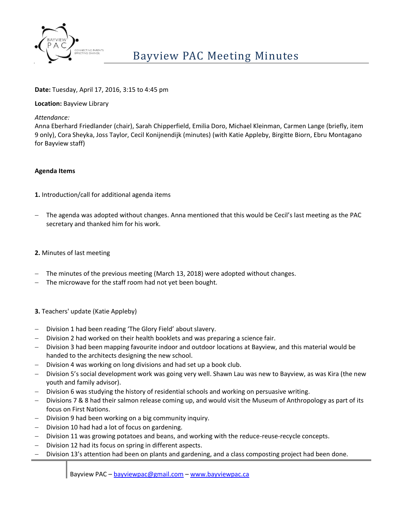

# **Date:** Tuesday, April 17, 2016, 3:15 to 4:45 pm

### **Location:** Bayview Library

*Attendance:*

Anna Eberhard Friedlander (chair), Sarah Chipperfield, Emilia Doro, Michael Kleinman, Carmen Lange (briefly, item 9 only), Cora Sheyka, Joss Taylor, Cecil Konijnendijk (minutes) (with Katie Appleby, Birgitte Biorn, Ebru Montagano for Bayview staff)

### **Agenda Items**

**1.** Introduction/call for additional agenda items

 The agenda was adopted without changes. Anna mentioned that this would be Cecil's last meeting as the PAC secretary and thanked him for his work.

# **2.** Minutes of last meeting

- The minutes of the previous meeting (March 13, 2018) were adopted without changes.
- The microwave for the staff room had not yet been bought.
- **3.** Teachers' update (Katie Appleby)
- Division 1 had been reading 'The Glory Field' about slavery.
- Division 2 had worked on their health booklets and was preparing a science fair.
- Division 3 had been mapping favourite indoor and outdoor locations at Bayview, and this material would be handed to the architects designing the new school.
- Division 4 was working on long divisions and had set up a book club.
- Division 5's social development work was going very well. Shawn Lau was new to Bayview, as was Kira (the new youth and family advisor).
- Division 6 was studying the history of residential schools and working on persuasive writing.
- Divisions 7 & 8 had their salmon release coming up, and would visit the Museum of Anthropology as part of its focus on First Nations.
- Division 9 had been working on a big community inquiry.
- Division 10 had had a lot of focus on gardening.
- Division 11 was growing potatoes and beans, and working with the reduce-reuse-recycle concepts.
- Division 12 had its focus on spring in different aspects.
- Division 13's attention had been on plants and gardening, and a class composting project had been done.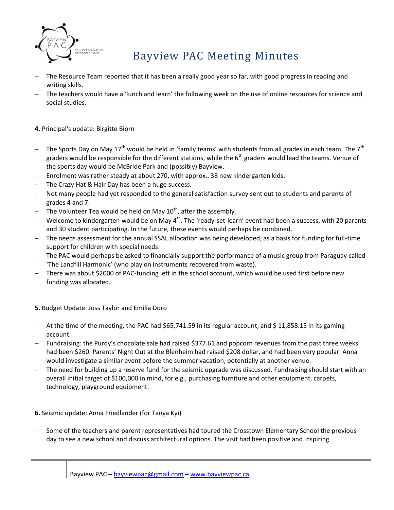

# $\mathsf{Bayview}\$  Bayview PAC Meeting Minutes

- The Resource Team reported that it has been a really good year so far, with good progress in reading and writing skills.
- The teachers would have a 'lunch and learn' the following week on the use of online resources for science and social studies.

# **4.** Principal's update: Birgitte Biorn

- The Sports Day on May 17<sup>th</sup> would be held in 'family teams' with students from all grades in each team. The 7<sup>th</sup> graders would be responsible for the different stations, while the  $6<sup>th</sup>$  graders would lead the teams. Venue of the sports day would be McBride Park and (possibly) Bayview.
- Enrolment was rather steady at about 270, with approx.. 38 new kindergarten kids.
- The Crazy Hat & Hair Day has been a huge success.
- Not many people had yet responded to the general satisfaction survey sent out to students and parents of grades 4 and 7.
- The Volunteer Tea would be held on May  $10^{th}$ , after the assembly.
- Welcome to kindergarten would be on May  $4<sup>th</sup>$ . The 'ready-set-learn' event had been a success, with 20 parents and 30 student participating. In the future, these events would perhaps be combined.
- The needs assessment for the annual SSAL allocation was being developed, as a basis for funding for full-time support for children with special needs.
- The PAC would perhaps be asked to financially support the performance of a music group from Paraguay called 'The Landfill Harmonic' (who play on instruments recovered from waste).
- There was about \$2000 of PAC-funding left in the school account, which would be used first before new funding was allocated.

# **5.** Budget Update: Joss Taylor and Emilia Doro

- At the time of the meeting, the PAC had \$65,741.59 in its regular account, and \$ 11,858.15 in its gaming account.
- Fundraising: the Purdy's chocolate sale had raised \$377.61 and popcorn revenues from the past three weeks had been \$260. Parents' Night Out at the Blenheim had raised \$208 dollar, and had been very popular. Anna would investigate a similar event before the summer vacation, potentially at another venue.
- The need for building up a reserve fund for the seismic upgrade was discussed. Fundraising should start with an overall initial target of \$100,000 in mind, for e.g., purchasing furniture and other equipment, carpets, technology, playground equipment.
- **6.** Seismic update: Anna Friedlander (for Tanya Kyi)
- Some of the teachers and parent representatives had toured the Crosstown Elementary School the previous day to see a new school and discuss architectural options. The visit had been positive and inspiring.